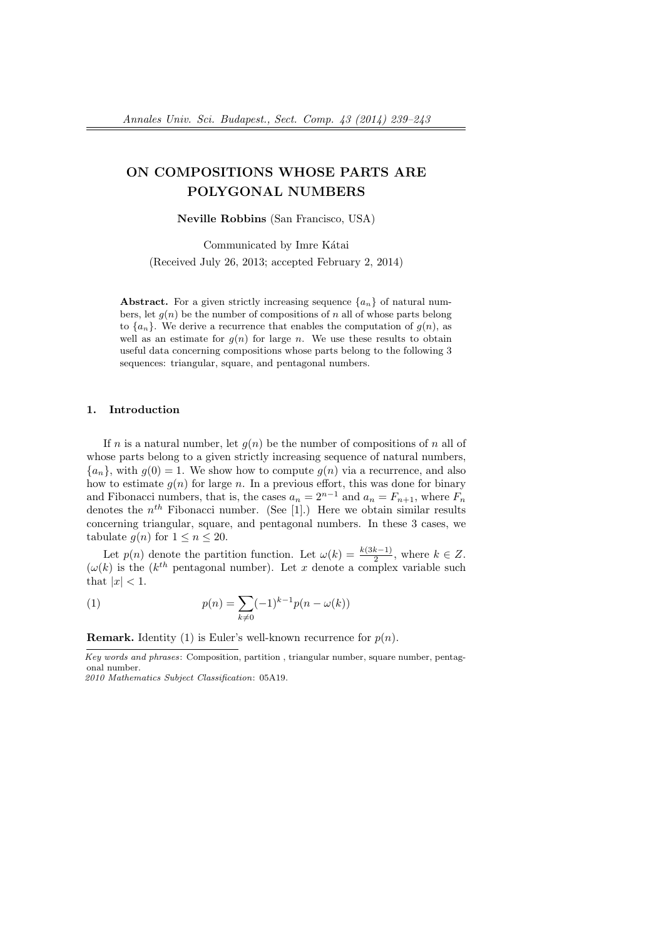# ON COMPOSITIONS WHOSE PARTS ARE POLYGONAL NUMBERS

Neville Robbins (San Francisco, USA)

Communicated by Imre Kátai (Received July 26, 2013; accepted February 2, 2014)

Abstract. For a given strictly increasing sequence  $\{a_n\}$  of natural numbers, let  $g(n)$  be the number of compositions of n all of whose parts belong to  $\{a_n\}$ . We derive a recurrence that enables the computation of  $g(n)$ , as well as an estimate for  $g(n)$  for large n. We use these results to obtain useful data concerning compositions whose parts belong to the following 3 sequences: triangular, square, and pentagonal numbers.

### 1. Introduction

If n is a natural number, let  $g(n)$  be the number of compositions of n all of whose parts belong to a given strictly increasing sequence of natural numbers,  ${a_n}$ , with  $g(0) = 1$ . We show how to compute  $g(n)$  via a recurrence, and also how to estimate  $g(n)$  for large n. In a previous effort, this was done for binary and Fibonacci numbers, that is, the cases  $a_n = 2^{n-1}$  and  $a_n = F_{n+1}$ , where  $F_n$ denotes the  $n^{th}$  Fibonacci number. (See [1].) Here we obtain similar results concerning triangular, square, and pentagonal numbers. In these 3 cases, we tabulate  $q(n)$  for  $1 \leq n \leq 20$ .

Let  $p(n)$  denote the partition function. Let  $\omega(k) = \frac{k(3k-1)}{2}$ , where  $k \in \mathbb{Z}$ .  $(\omega(k))$  is the  $(k^{th}$  pentagonal number). Let x denote a complex variable such that  $|x| < 1$ .

(1) 
$$
p(n) = \sum_{k \neq 0} (-1)^{k-1} p(n - \omega(k))
$$

**Remark.** Identity (1) is Euler's well-known recurrence for  $p(n)$ .

Key words and phrases: Composition, partition , triangular number, square number, pentagonal number.

<sup>2010</sup> Mathematics Subject Classification: 05A19.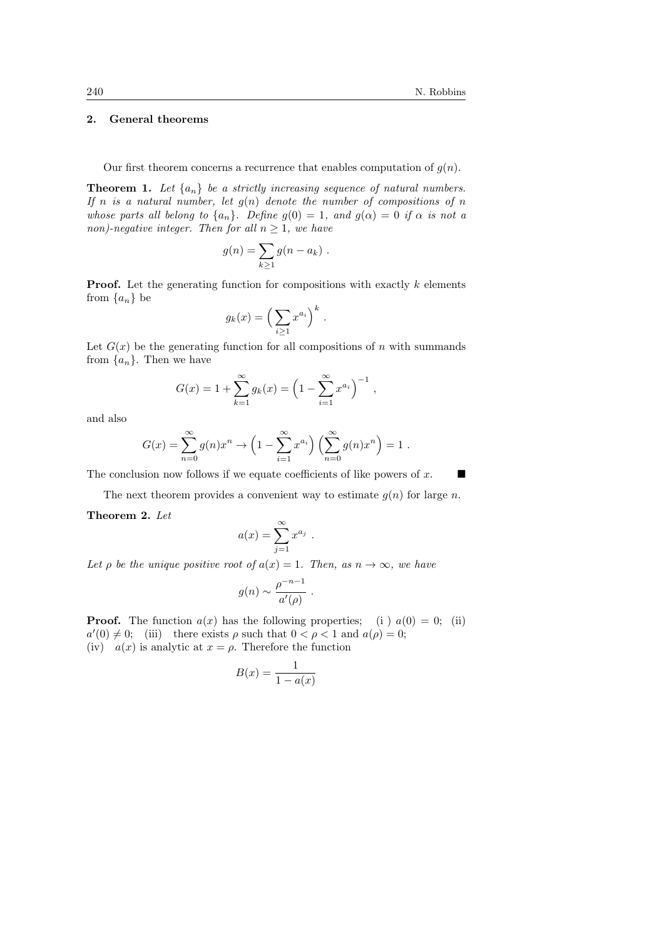## 2. General theorems

#### Our first theorem concerns a recurrence that enables computation of  $g(n)$ .

**Theorem 1.** Let  $\{a_n\}$  be a strictly increasing sequence of natural numbers. If n is a natural number, let  $g(n)$  denote the number of compositions of n whose parts all belong to  $\{a_n\}$ . Define  $g(0) = 1$ , and  $g(\alpha) = 0$  if  $\alpha$  is not a non)-negative integer. Then for all  $n > 1$ , we have

$$
g(n) = \sum_{k \geq 1} g(n - a_k) .
$$

**Proof.** Let the generating function for compositions with exactly  $k$  elements from  $\{a_n\}$  be

$$
g_k(x) = \left(\sum_{i\geq 1} x^{a_i}\right)^k.
$$

Let  $G(x)$  be the generating function for all compositions of n with summands from  $\{a_n\}$ . Then we have

$$
G(x) = 1 + \sum_{k=1}^{\infty} g_k(x) = \left(1 - \sum_{i=1}^{\infty} x^{a_i}\right)^{-1},
$$

and also

$$
G(x) = \sum_{n=0}^{\infty} g(n)x^n \to \left(1 - \sum_{i=1}^{\infty} x^{a_i}\right) \left(\sum_{n=0}^{\infty} g(n)x^n\right) = 1.
$$

The conclusion now follows if we equate coefficients of like powers of  $x$ .

The next theorem provides a convenient way to estimate  $g(n)$  for large n.

.

Theorem 2. Let

$$
a(x) = \sum_{j=1}^{\infty} x^{a_j}
$$

Let  $\rho$  be the unique positive root of  $a(x) = 1$ . Then, as  $n \to \infty$ , we have

$$
g(n) \sim \frac{\rho^{-n-1}}{a'(\rho)} \ .
$$

**Proof.** The function  $a(x)$  has the following properties; (i)  $a(0) = 0$ ; (ii)  $a'(0) \neq 0$ ; (iii) there exists  $\rho$  such that  $0 < \rho < 1$  and  $a(\rho) = 0$ ; (iv)  $a(x)$  is analytic at  $x = \rho$ . Therefore the function

$$
B(x) = \frac{1}{1 - a(x)}
$$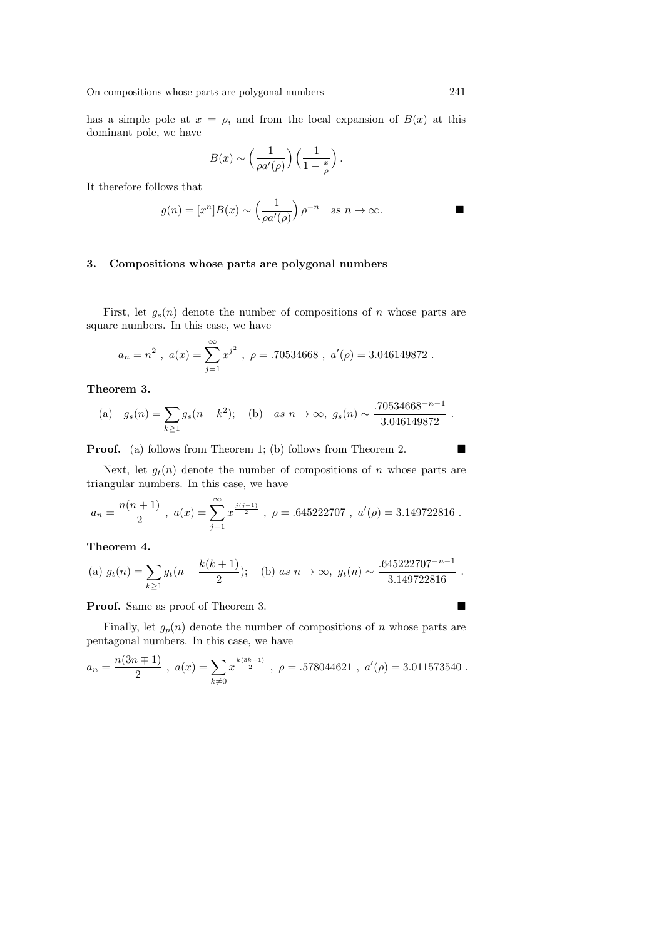has a simple pole at  $x = \rho$ , and from the local expansion of  $B(x)$  at this dominant pole, we have

$$
B(x) \sim \left(\frac{1}{\rho a'(\rho)}\right) \left(\frac{1}{1-\frac{x}{\rho}}\right).
$$

It therefore follows that

$$
g(n) = [x^n]B(x) \sim \left(\frac{1}{\rho a'(\rho)}\right)\rho^{-n} \quad \text{as } n \to \infty.
$$

## 3. Compositions whose parts are polygonal numbers

First, let  $g_s(n)$  denote the number of compositions of n whose parts are square numbers. In this case, we have

$$
a_n = n^2
$$
,  $a(x) = \sum_{j=1}^{\infty} x^{j^2}$ ,  $\rho = .70534668$ ,  $a'(\rho) = 3.046149872$ .

Theorem 3.

(a) 
$$
g_s(n) = \sum_{k\geq 1} g_s(n-k^2)
$$
; (b) as  $n \to \infty$ ,  $g_s(n) \sim \frac{.70534668^{-n-1}}{3.046149872}$ .

**Proof.** (a) follows from Theorem 1; (b) follows from Theorem 2.

Next, let  $g_t(n)$  denote the number of compositions of n whose parts are triangular numbers. In this case, we have

$$
a_n = \frac{n(n+1)}{2} \; , \; a(x) = \sum_{j=1}^\infty x^{\frac{j(j+1)}{2}} \; , \; \rho = .645222707 \; , \; a'(\rho) = 3.149722816 \; .
$$

## Theorem 4.

(a) 
$$
g_t(n) = \sum_{k \ge 1} g_t(n - \frac{k(k+1)}{2});
$$
 (b) as  $n \to \infty$ ,  $g_t(n) \sim \frac{.645222707^{-n-1}}{3.149722816}$ .

**Proof.** Same as proof of Theorem 3.

Finally, let  $g_p(n)$  denote the number of compositions of n whose parts are pentagonal numbers. In this case, we have

$$
a_n = \frac{n(3n+1)}{2}, \ a(x) = \sum_{k \neq 0} x^{\frac{k(3k-1)}{2}}, \ \rho = .578044621 \ , \ a'(\rho) = 3.011573540 \ .
$$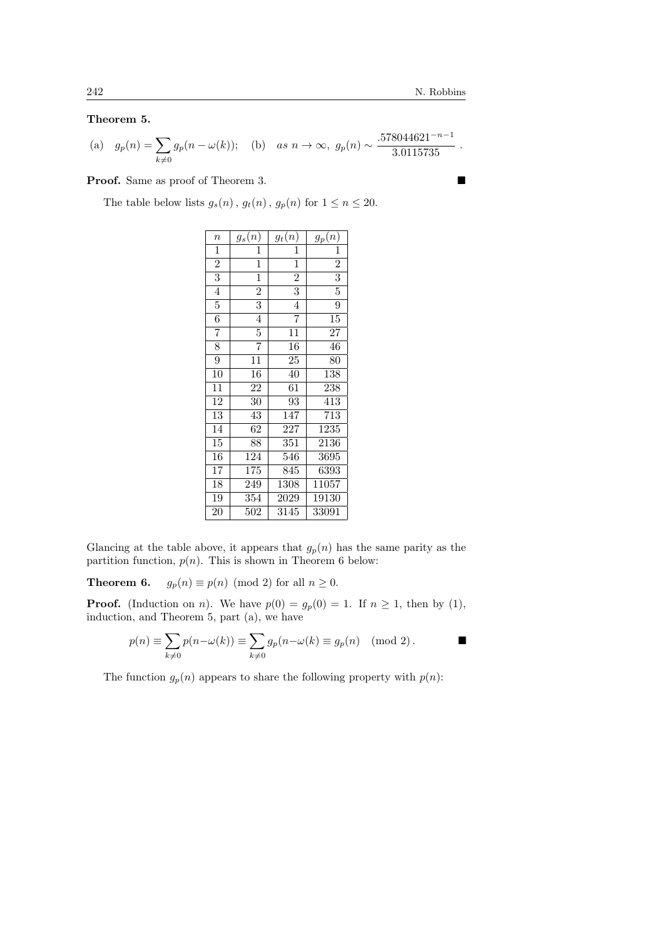Theorem 5.

(a) 
$$
g_p(n) = \sum_{k \neq 0} g_p(n - \omega(k));
$$
 (b) as  $n \to \infty$ ,  $g_p(n) \sim \frac{.578044621^{-n-1}}{3.0115735}$ .

**Proof.** Same as proof of Theorem 3.

The table below lists  $g_s(n)$ ,  $g_t(n)$ ,  $g_p(n)$  for  $1 \leq n \leq 20$ .

| $\it n$         | $g_s(n)$        | $g_t(n)$                  | $g_p(n)$         |
|-----------------|-----------------|---------------------------|------------------|
| $\mathbf 1$     | 1               | 1                         | 1                |
| $\overline{2}$  | $\mathbf 1$     | $\mathbf 1$               | $\overline{2}$   |
| $\overline{3}$  | $\mathbf 1$     | $\overline{2}$            | $\overline{3}$   |
| $\overline{4}$  | $\overline{2}$  | $\overline{\overline{3}}$ | $\overline{5}$   |
| $\overline{5}$  | $\overline{3}$  | $\overline{4}$            | $\overline{9}$   |
| $\overline{6}$  | $\overline{4}$  | $\overline{7}$            | $15\,$           |
| $\overline{7}$  | $\overline{5}$  | 11                        | 27               |
| $\overline{8}$  | $\overline{7}$  | 16                        | 46               |
| $\overline{9}$  | 11              | 25                        | 80               |
| 10              | $\overline{16}$ | $\overline{4}0$           | 138              |
| 11              | 22              | 61                        | 238              |
| $\overline{12}$ | 30              | 93                        | 413              |
| $\overline{13}$ | 43              | 147                       | $\overline{713}$ |
| $\overline{14}$ | 62              | 227                       | 1235             |
| $\overline{15}$ | 88              | 351                       | 2136             |
| $\overline{16}$ | 124             | 546                       | 3695             |
| $\overline{17}$ | 175             | 845                       | 6393             |
| $\overline{18}$ | 249             | $13\overline{08}$         | 11057            |
| 19              | 354             | 2029                      | 19130            |
| 20              | 502             | 3145                      | 33091            |

Glancing at the table above, it appears that  $g_p(n)$  has the same parity as the partition function,  $p(n)$ . This is shown in Theorem 6 below:

**Theorem 6.**  $g_p(n) \equiv p(n) \pmod{2}$  for all  $n \ge 0$ .

**Proof.** (Induction on *n*). We have  $p(0) = g_p(0) = 1$ . If  $n \ge 1$ , then by (1), induction, and Theorem 5, part (a), we have

$$
p(n) \equiv \sum_{k \neq 0} p(n - \omega(k)) \equiv \sum_{k \neq 0} g_p(n - \omega(k) \equiv g_p(n) \pmod{2}.
$$

The function  $g_p(n)$  appears to share the following property with  $p(n)$ :